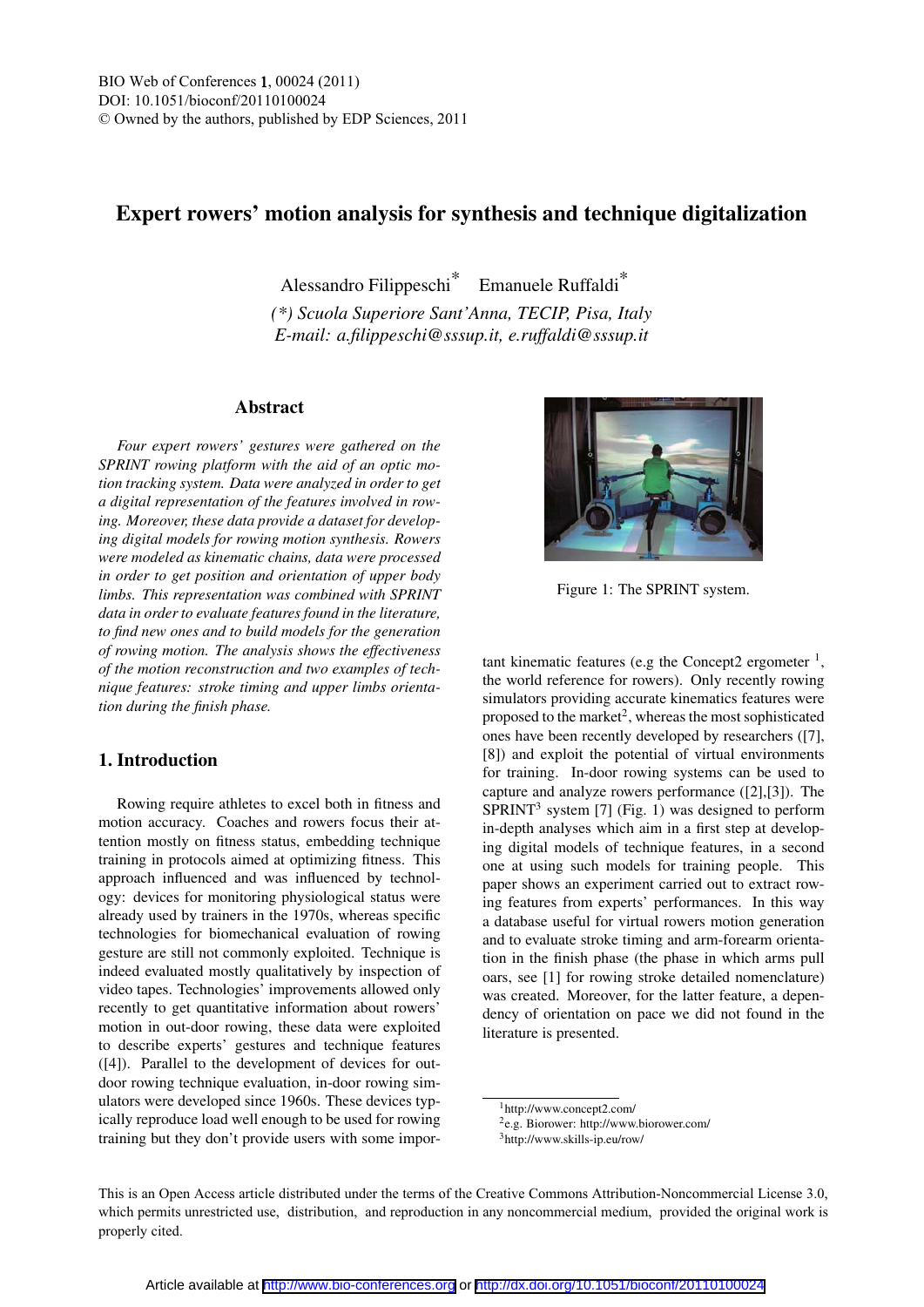# Expert rowers' motion analysis for synthesis and technique digitalization

Alessandro Filippeschi\* Emanuele Ruffaldi\*

*(\*) Scuola Superiore Sant'Anna, TECIP, Pisa, Italy E-mail: a.filippeschi@sssup.it, e.ruffaldi@sssup.it*

### Abstract

*Four expert rowers' gestures were gathered on the SPRINT rowing platform with the aid of an optic motion tracking system. Data were analyzed in order to get a digital representation of the features involved in rowing. Moreover, these data provide a dataset for developing digital models for rowing motion synthesis. Rowers were modeled as kinematic chains, data were processed in order to get position and orientation of upper body limbs. This representation was combined with SPRINT data in order to evaluate features found in the literature, to find new ones and to build models for the generation of rowing motion. The analysis shows the effectiveness of the motion reconstruction and two examples of technique features: stroke timing and upper limbs orientation during the finish phase.*

## 1. Introduction

Rowing require athletes to excel both in fitness and motion accuracy. Coaches and rowers focus their attention mostly on fitness status, embedding technique training in protocols aimed at optimizing fitness. This approach influenced and was influenced by technology: devices for monitoring physiological status were already used by trainers in the 1970s, whereas specific technologies for biomechanical evaluation of rowing gesture are still not commonly exploited. Technique is indeed evaluated mostly qualitatively by inspection of video tapes. Technologies' improvements allowed only recently to get quantitative information about rowers' motion in out-door rowing, these data were exploited to describe experts' gestures and technique features ([4]). Parallel to the development of devices for outdoor rowing technique evaluation, in-door rowing simulators were developed since 1960s. These devices typically reproduce load well enough to be used for rowing training but they don't provide users with some impor-



Figure 1: The SPRINT system.

tant kinematic features (e.g the Concept2 ergometer  $<sup>1</sup>$ ,</sup> the world reference for rowers). Only recently rowing simulators providing accurate kinematics features were proposed to the market<sup>2</sup>, whereas the most sophisticated ones have been recently developed by researchers ([7], [8]) and exploit the potential of virtual environments for training. In-door rowing systems can be used to capture and analyze rowers performance ([2],[3]). The  $SPRINT<sup>3</sup>$  system [7] (Fig. 1) was designed to perform in-depth analyses which aim in a first step at developing digital models of technique features, in a second one at using such models for training people. This paper shows an experiment carried out to extract rowing features from experts' performances. In this way a database useful for virtual rowers motion generation and to evaluate stroke timing and arm-forearm orientation in the finish phase (the phase in which arms pull oars, see [1] for rowing stroke detailed nomenclature) was created. Moreover, for the latter feature, a dependency of orientation on pace we did not found in the literature is presented.

This is an Open Access article distributed under the terms of the Creative Commons Attribution-Noncommercial License 3.0, which permits unrestricted use, distribution, and reproduction in any noncommercial medium, provided the original work is properly cited.

<sup>1</sup>http://www.concept2.com/

<sup>2</sup>e.g. Biorower: http://www.biorower.com/

<sup>3</sup>http://www.skills-ip.eu/row/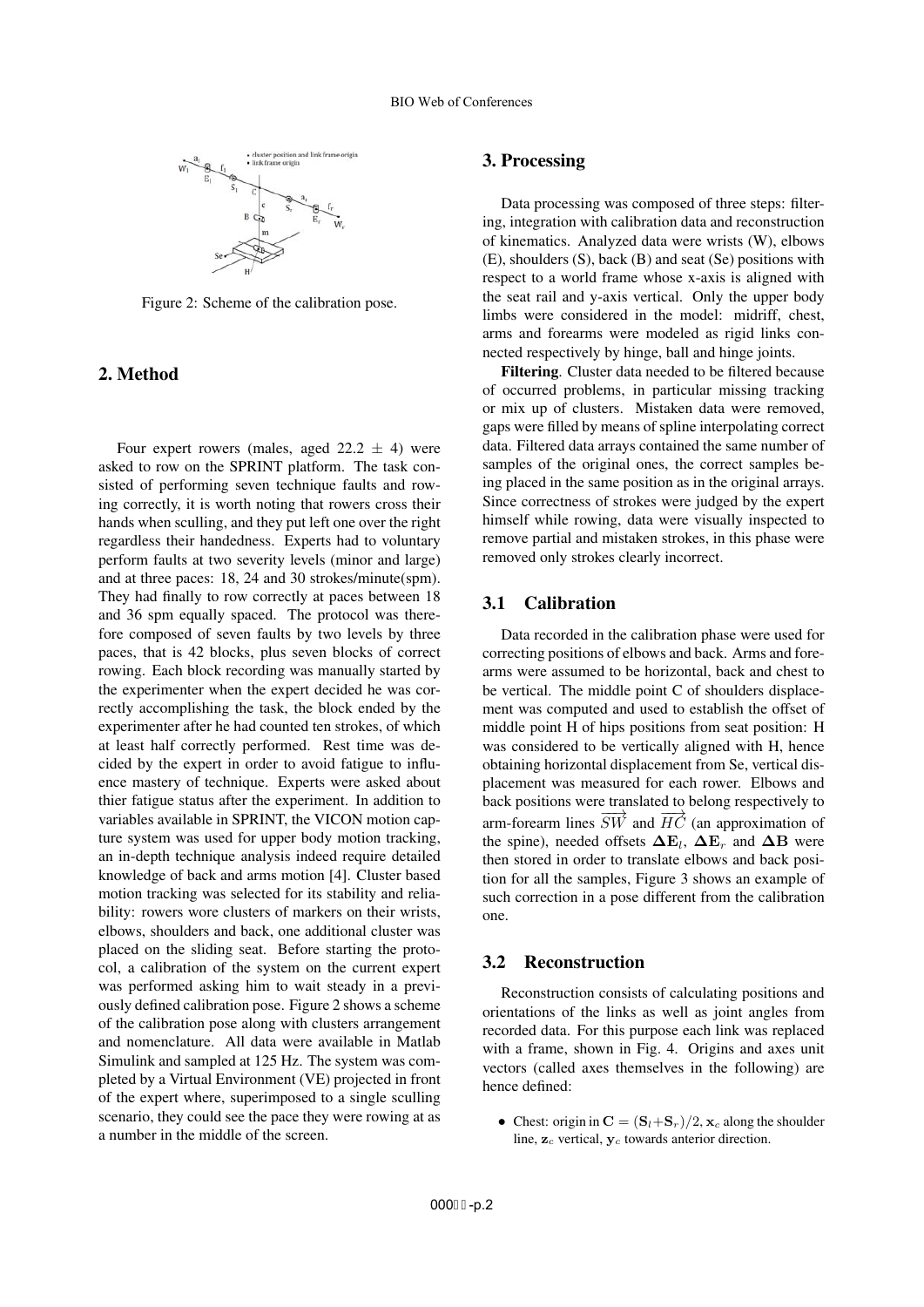

Figure 2: Scheme of the calibration pose.

# 2. Method

Four expert rowers (males, aged  $22.2 \pm 4$ ) were asked to row on the SPRINT platform. The task consisted of performing seven technique faults and rowing correctly, it is worth noting that rowers cross their hands when sculling, and they put left one over the right regardless their handedness. Experts had to voluntary perform faults at two severity levels (minor and large) and at three paces: 18, 24 and 30 strokes/minute(spm). They had finally to row correctly at paces between 18 and 36 spm equally spaced. The protocol was therefore composed of seven faults by two levels by three paces, that is 42 blocks, plus seven blocks of correct rowing. Each block recording was manually started by the experimenter when the expert decided he was correctly accomplishing the task, the block ended by the experimenter after he had counted ten strokes, of which at least half correctly performed. Rest time was decided by the expert in order to avoid fatigue to influence mastery of technique. Experts were asked about thier fatigue status after the experiment. In addition to variables available in SPRINT, the VICON motion capture system was used for upper body motion tracking, an in-depth technique analysis indeed require detailed knowledge of back and arms motion [4]. Cluster based motion tracking was selected for its stability and reliability: rowers wore clusters of markers on their wrists, elbows, shoulders and back, one additional cluster was placed on the sliding seat. Before starting the protocol, a calibration of the system on the current expert was performed asking him to wait steady in a previously defined calibration pose. Figure 2 shows a scheme of the calibration pose along with clusters arrangement and nomenclature. All data were available in Matlab Simulink and sampled at 125 Hz. The system was completed by a Virtual Environment (VE) projected in front of the expert where, superimposed to a single sculling scenario, they could see the pace they were rowing at as a number in the middle of the screen.

### 3. Processing

Data processing was composed of three steps: filtering, integration with calibration data and reconstruction of kinematics. Analyzed data were wrists (W), elbows (E), shoulders (S), back (B) and seat (Se) positions with respect to a world frame whose x-axis is aligned with the seat rail and y-axis vertical. Only the upper body limbs were considered in the model: midriff, chest, arms and forearms were modeled as rigid links connected respectively by hinge, ball and hinge joints.

Filtering. Cluster data needed to be filtered because of occurred problems, in particular missing tracking or mix up of clusters. Mistaken data were removed, gaps were filled by means of spline interpolating correct data. Filtered data arrays contained the same number of samples of the original ones, the correct samples being placed in the same position as in the original arrays. Since correctness of strokes were judged by the expert himself while rowing, data were visually inspected to remove partial and mistaken strokes, in this phase were removed only strokes clearly incorrect.

#### 3.1 Calibration

Data recorded in the calibration phase were used for correcting positions of elbows and back. Arms and forearms were assumed to be horizontal, back and chest to be vertical. The middle point C of shoulders displacement was computed and used to establish the offset of middle point H of hips positions from seat position: H was considered to be vertically aligned with H, hence obtaining horizontal displacement from Se, vertical displacement was measured for each rower. Elbows and back positions were translated to belong respectively to arm-forearm lines  $\overrightarrow{SW}$  and  $\overrightarrow{HC}$  (an approximation of the spine), needed offsets  $\Delta E_l$ ,  $\Delta E_r$  and  $\Delta B$  were then stored in order to translate elbows and back position for all the samples, Figure 3 shows an example of such correction in a pose different from the calibration one.

#### 3.2 Reconstruction

Reconstruction consists of calculating positions and orientations of the links as well as joint angles from recorded data. For this purpose each link was replaced with a frame, shown in Fig. 4. Origins and axes unit vectors (called axes themselves in the following) are hence defined:

• Chest: origin in  $\mathbf{C} = (\mathbf{S}_l + \mathbf{S}_r)/2$ ,  $\mathbf{x}_c$  along the shoulder line, **z***<sup>c</sup>* vertical, **y***<sup>c</sup>* towards anterior direction.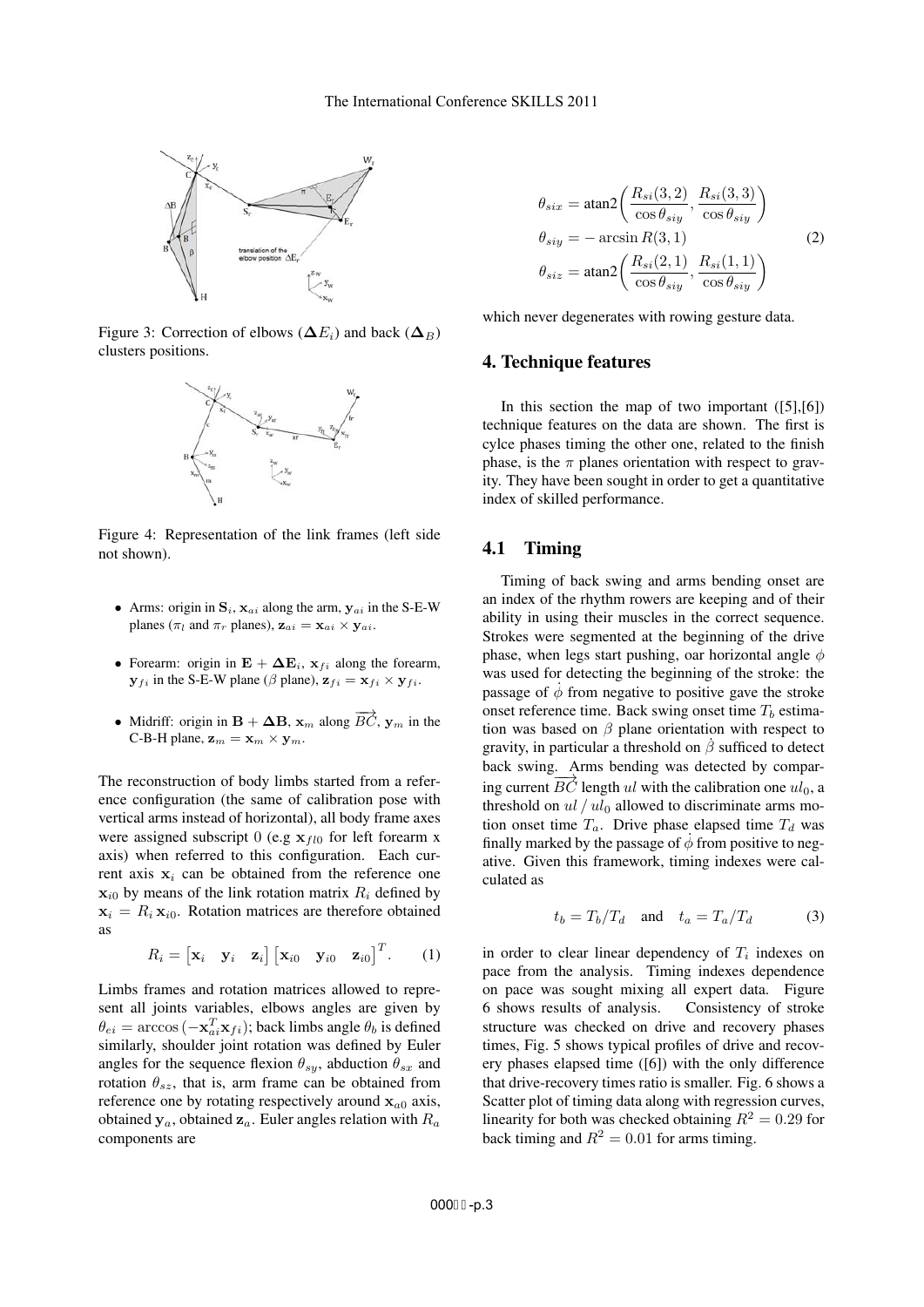

Figure 3: Correction of elbows ( $\Delta E_i$ ) and back ( $\Delta B_i$ ) clusters positions.



Figure 4: Representation of the link frames (left side not shown).

- Arms: origin in  $S_i$ ,  $\mathbf{x}_{ai}$  along the arm,  $\mathbf{y}_{ai}$  in the S-E-W planes ( $\pi_l$  and  $\pi_r$  planes),  $\mathbf{z}_{ai} = \mathbf{x}_{ai} \times \mathbf{y}_{ai}$ .
- Forearm: origin in  $\mathbf{E} + \Delta \mathbf{E}_i$ ,  $\mathbf{x}_{fi}$  along the forearm,  $\mathbf{y}_{fi}$  in the S-E-W plane ( $\beta$  plane),  $\mathbf{z}_{fi} = \mathbf{x}_{fi} \times \mathbf{y}_{fi}$ .
- Midriff: origin in  $\mathbf{B} + \Delta \mathbf{B}$ ,  $\mathbf{x}_m$  along  $\overrightarrow{BC}$ ,  $\mathbf{y}_m$  in the C-B-H plane,  $\mathbf{z}_m = \mathbf{x}_m \times \mathbf{y}_m$ .

The reconstruction of body limbs started from a reference configuration (the same of calibration pose with vertical arms instead of horizontal), all body frame axes were assigned subscript 0 (e.g  $\mathbf{x}_{fl0}$  for left forearm x axis) when referred to this configuration. Each current axis  $x_i$  can be obtained from the reference one  $\mathbf{x}_{i0}$  by means of the link rotation matrix  $R_i$  defined by  $x_i = R_i x_{i0}$ . Rotation matrices are therefore obtained as

$$
R_i = \begin{bmatrix} \mathbf{x}_i & \mathbf{y}_i & \mathbf{z}_i \end{bmatrix} \begin{bmatrix} \mathbf{x}_{i0} & \mathbf{y}_{i0} & \mathbf{z}_{i0} \end{bmatrix}^T.
$$
 (1)

Limbs frames and rotation matrices allowed to represent all joints variables, elbows angles are given by  $\theta_{ei} = \arccos(-\mathbf{x}_{ai}^T \mathbf{x}_{fi})$ ; back limbs angle  $\theta_b$  is defined similarly, shoulder joint rotation was defined by Euler angles for the sequence flexion  $\theta_{sy}$ , abduction  $\theta_{sx}$  and rotation  $\theta_{sz}$ , that is, arm frame can be obtained from reference one by rotating respectively around  $\mathbf{x}_{a0}$  axis, obtained  $y_a$ , obtained  $z_a$ . Euler angles relation with  $R_a$ components are

$$
\theta_{six} = \operatorname{atan2}\left(\frac{R_{si}(3,2)}{\cos \theta_{siy}}, \frac{R_{si}(3,3)}{\cos \theta_{siy}}\right)
$$

$$
\theta_{siy} = -\operatorname{arcsin} R(3,1) \qquad (2)
$$

$$
\theta_{siz} = \operatorname{atan2}\left(\frac{R_{si}(2,1)}{\cos \theta_{siy}}, \frac{R_{si}(1,1)}{\cos \theta_{siy}}\right)
$$

which never degenerates with rowing gesture data.

#### 4. Technique features

In this section the map of two important  $([5],[6])$ technique features on the data are shown. The first is cylce phases timing the other one, related to the finish phase, is the  $\pi$  planes orientation with respect to gravity. They have been sought in order to get a quantitative index of skilled performance.

#### 4.1 Timing

Timing of back swing and arms bending onset are an index of the rhythm rowers are keeping and of their ability in using their muscles in the correct sequence. Strokes were segmented at the beginning of the drive phase, when legs start pushing, oar horizontal angle  $\phi$ was used for detecting the beginning of the stroke: the passage of  $\dot{\phi}$  from negative to positive gave the stroke onset reference time. Back swing onset time  $T_b$  estimation was based on  $\beta$  plane orientation with respect to gravity, in particular a threshold on  $\beta$  sufficed to detect back swing. Arms bending was detected by comparing current  $\overrightarrow{BC}$  length ul with the calibration one  $ul_0$ , a threshold on  $ul / ul_0$  allowed to discriminate arms motion onset time  $T_a$ . Drive phase elapsed time  $T_d$  was finally marked by the passage of  $\phi$  from positive to negative. Given this framework, timing indexes were calculated as

$$
t_b = T_b/T_d \quad \text{and} \quad t_a = T_a/T_d \tag{3}
$$

in order to clear linear dependency of  $T_i$  indexes on pace from the analysis. Timing indexes dependence on pace was sought mixing all expert data. Figure 6 shows results of analysis. Consistency of stroke structure was checked on drive and recovery phases times, Fig. 5 shows typical profiles of drive and recovery phases elapsed time ([6]) with the only difference that drive-recovery times ratio is smaller. Fig. 6 shows a Scatter plot of timing data along with regression curves, linearity for both was checked obtaining  $R^2 = 0.29$  for back timing and  $R^2 = 0.01$  for arms timing.